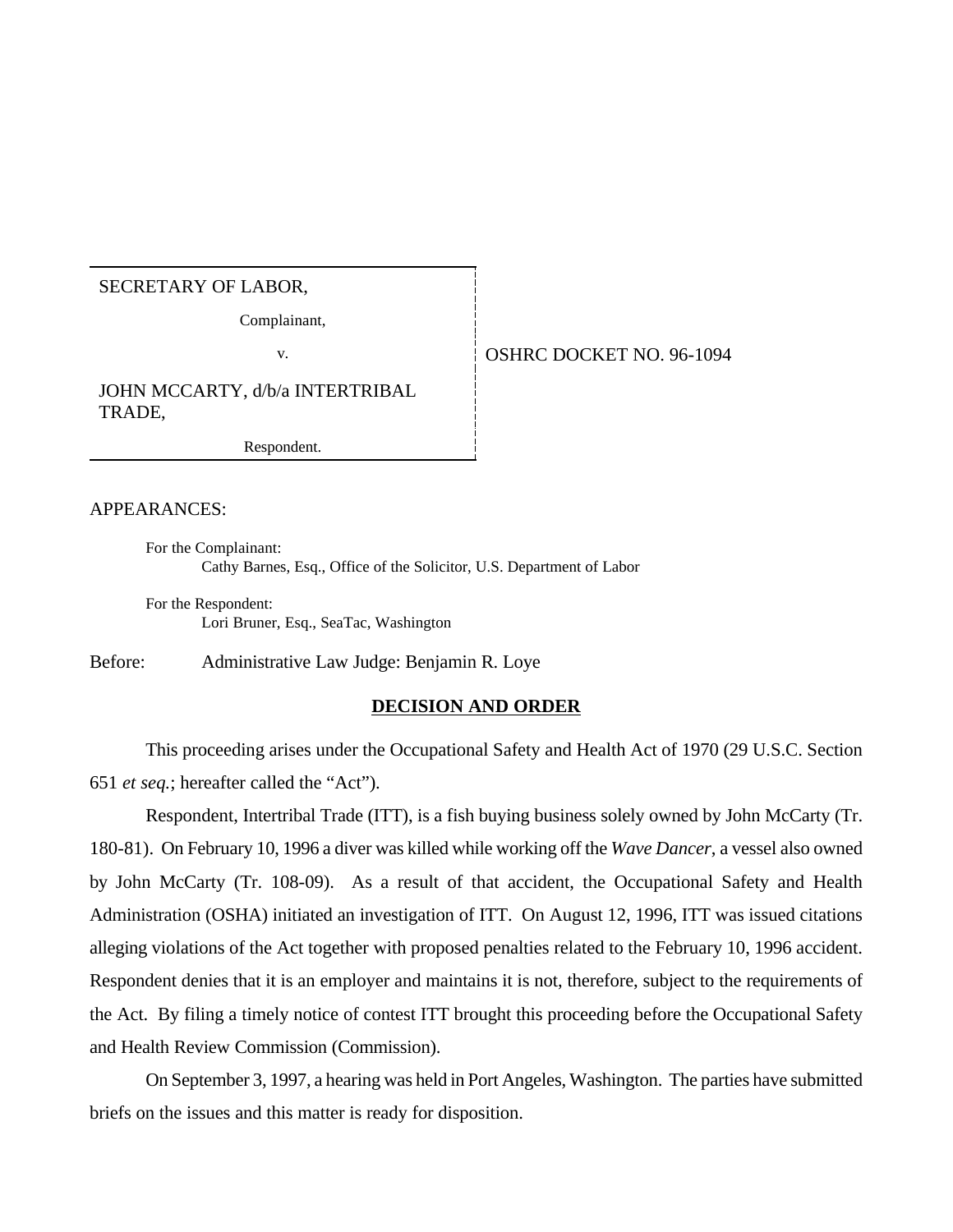## SECRETARY OF LABOR,

Complainant,

v. 6. OSHRC DOCKET NO. 96-1094

JOHN MCCARTY, d/b/a INTERTRIBAL TRADE,

Respondent.

#### APPEARANCES:

For the Complainant: Cathy Barnes, Esq., Office of the Solicitor, U.S. Department of Labor

For the Respondent: Lori Bruner, Esq., SeaTac, Washington

Before: Administrative Law Judge: Benjamin R. Loye

#### **DECISION AND ORDER**

This proceeding arises under the Occupational Safety and Health Act of 1970 (29 U.S.C. Section 651 *et seq.*; hereafter called the "Act").

Respondent, Intertribal Trade (ITT), is a fish buying business solely owned by John McCarty (Tr. 180-81). On February 10, 1996 a diver was killed while working off the *Wave Dancer*, a vessel also owned by John McCarty (Tr. 108-09). As a result of that accident, the Occupational Safety and Health Administration (OSHA) initiated an investigation of ITT. On August 12, 1996, ITT was issued citations alleging violations of the Act together with proposed penalties related to the February 10, 1996 accident. Respondent denies that it is an employer and maintains it is not, therefore, subject to the requirements of the Act. By filing a timely notice of contest ITT brought this proceeding before the Occupational Safety and Health Review Commission (Commission).

On September 3, 1997, a hearing was held in Port Angeles, Washington. The parties have submitted briefs on the issues and this matter is ready for disposition.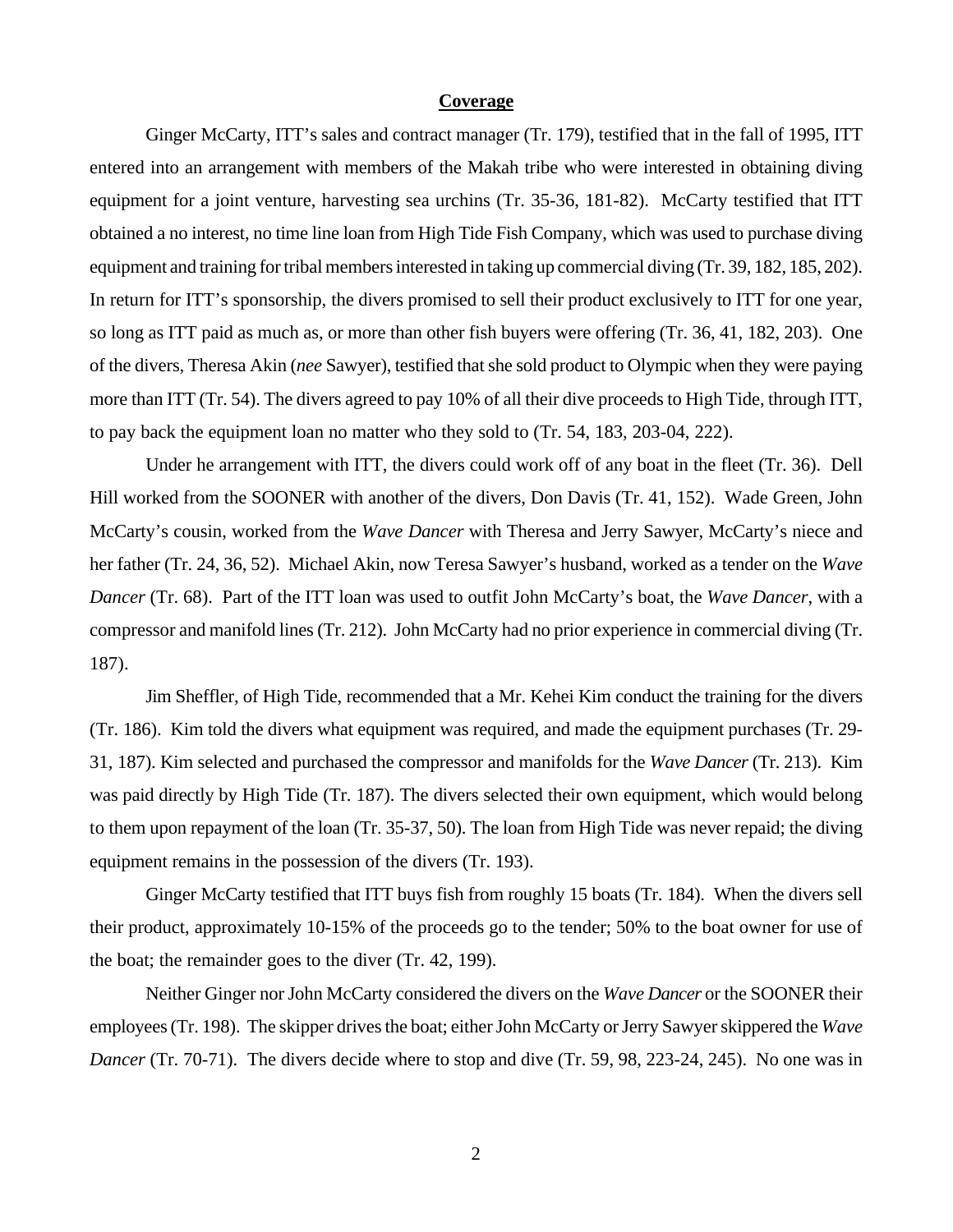#### **Coverage**

Ginger McCarty, ITT's sales and contract manager (Tr. 179), testified that in the fall of 1995, ITT entered into an arrangement with members of the Makah tribe who were interested in obtaining diving equipment for a joint venture, harvesting sea urchins (Tr. 35-36, 181-82). McCarty testified that ITT obtained a no interest, no time line loan from High Tide Fish Company, which was used to purchase diving equipment and training for tribal members interested in taking up commercial diving (Tr. 39, 182, 185, 202). In return for ITT's sponsorship, the divers promised to sell their product exclusively to ITT for one year, so long as ITT paid as much as, or more than other fish buyers were offering (Tr. 36, 41, 182, 203). One of the divers, Theresa Akin (*nee* Sawyer), testified that she sold product to Olympic when they were paying more than ITT (Tr. 54). The divers agreed to pay 10% of all their dive proceeds to High Tide, through ITT, to pay back the equipment loan no matter who they sold to (Tr. 54, 183, 203-04, 222).

Under he arrangement with ITT, the divers could work off of any boat in the fleet (Tr. 36). Dell Hill worked from the SOONER with another of the divers, Don Davis (Tr. 41, 152). Wade Green, John McCarty's cousin, worked from the *Wave Dancer* with Theresa and Jerry Sawyer, McCarty's niece and her father (Tr. 24, 36, 52). Michael Akin, now Teresa Sawyer's husband, worked as a tender on the *Wave Dancer* (Tr. 68). Part of the ITT loan was used to outfit John McCarty's boat, the *Wave Dancer*, with a compressor and manifold lines (Tr. 212). John McCarty had no prior experience in commercial diving (Tr. 187).

Jim Sheffler, of High Tide, recommended that a Mr. Kehei Kim conduct the training for the divers (Tr. 186). Kim told the divers what equipment was required, and made the equipment purchases (Tr. 29- 31, 187). Kim selected and purchased the compressor and manifolds for the *Wave Dancer* (Tr. 213). Kim was paid directly by High Tide (Tr. 187). The divers selected their own equipment, which would belong to them upon repayment of the loan (Tr. 35-37, 50). The loan from High Tide was never repaid; the diving equipment remains in the possession of the divers (Tr. 193).

Ginger McCarty testified that ITT buys fish from roughly 15 boats (Tr. 184). When the divers sell their product, approximately 10-15% of the proceeds go to the tender; 50% to the boat owner for use of the boat; the remainder goes to the diver (Tr. 42, 199).

Neither Ginger nor John McCarty considered the divers on the *Wave Dancer* or the SOONER their employees (Tr. 198). The skipper drives the boat; either John McCarty or Jerry Sawyer skippered the *Wave Dancer* (Tr. 70-71). The divers decide where to stop and dive (Tr. 59, 98, 223-24, 245). No one was in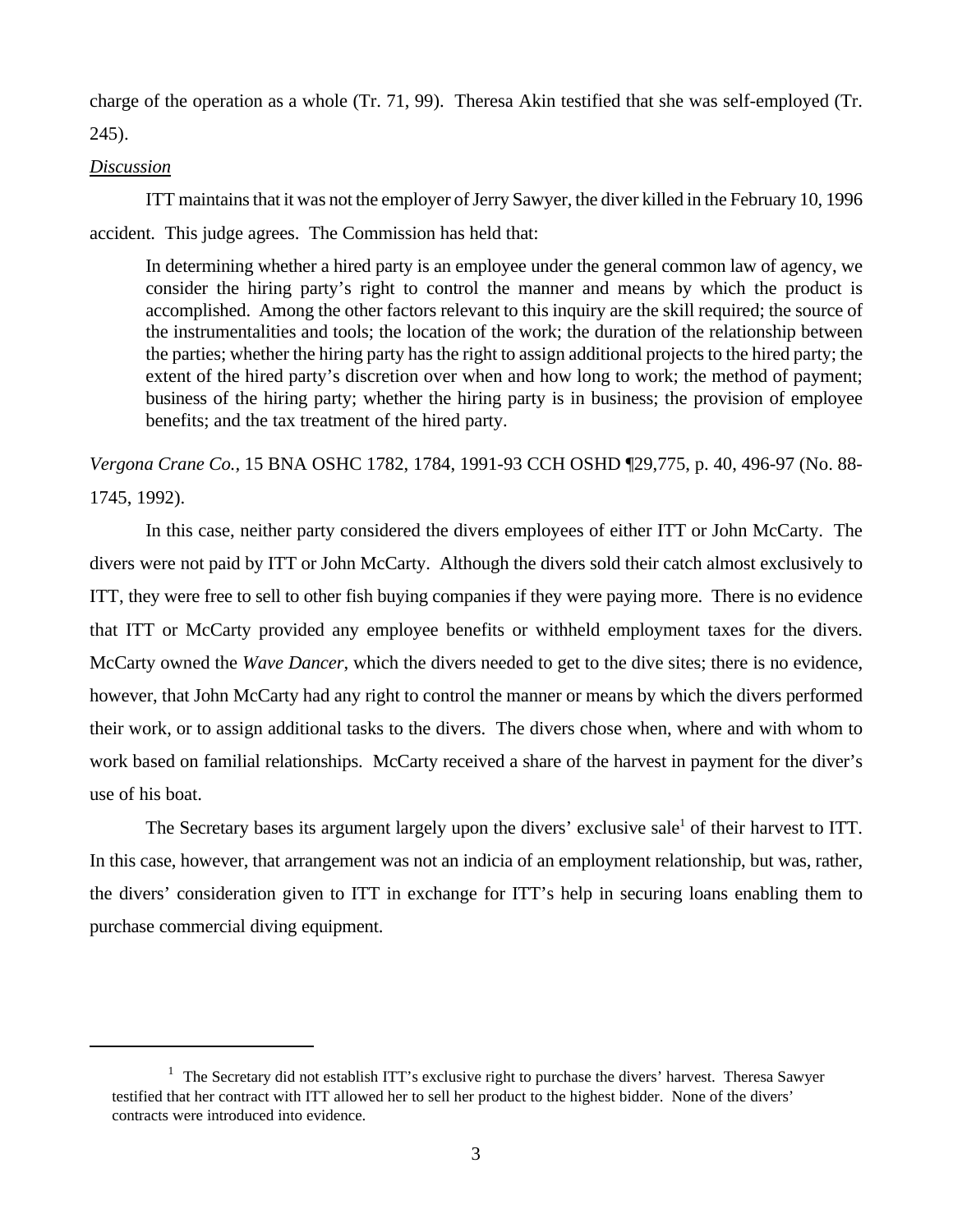charge of the operation as a whole (Tr. 71, 99). Theresa Akin testified that she was self-employed (Tr. 245).

### *Discussion*

ITT maintains that it was not the employer of Jerry Sawyer, the diver killed in the February 10, 1996 accident. This judge agrees. The Commission has held that:

In determining whether a hired party is an employee under the general common law of agency, we consider the hiring party's right to control the manner and means by which the product is accomplished. Among the other factors relevant to this inquiry are the skill required; the source of the instrumentalities and tools; the location of the work; the duration of the relationship between the parties; whether the hiring party has the right to assign additional projects to the hired party; the extent of the hired party's discretion over when and how long to work; the method of payment; business of the hiring party; whether the hiring party is in business; the provision of employee benefits; and the tax treatment of the hired party.

*Vergona Crane Co.,* 15 BNA OSHC 1782, 1784, 1991-93 CCH OSHD ¶29,775, p. 40, 496-97 (No. 88- 1745, 1992).

In this case, neither party considered the divers employees of either ITT or John McCarty. The divers were not paid by ITT or John McCarty. Although the divers sold their catch almost exclusively to ITT, they were free to sell to other fish buying companies if they were paying more. There is no evidence that ITT or McCarty provided any employee benefits or withheld employment taxes for the divers. McCarty owned the *Wave Dancer*, which the divers needed to get to the dive sites; there is no evidence, however, that John McCarty had any right to control the manner or means by which the divers performed their work, or to assign additional tasks to the divers. The divers chose when, where and with whom to work based on familial relationships. McCarty received a share of the harvest in payment for the diver's use of his boat.

The Secretary bases its argument largely upon the divers' exclusive sale<sup>1</sup> of their harvest to ITT. In this case, however, that arrangement was not an indicia of an employment relationship, but was, rather, the divers' consideration given to ITT in exchange for ITT's help in securing loans enabling them to purchase commercial diving equipment.

<sup>&</sup>lt;sup>1</sup> The Secretary did not establish ITT's exclusive right to purchase the divers' harvest. Theresa Sawyer testified that her contract with ITT allowed her to sell her product to the highest bidder. None of the divers' contracts were introduced into evidence.